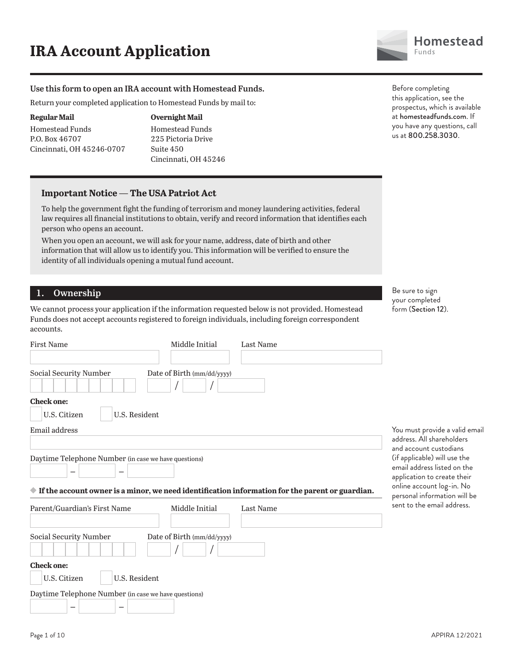

#### **Use this form to open an IRA account with Homestead Funds.**

Return your completed application to Homestead Funds by mail to:

#### **Regular Mail**

Homestead Funds P.O. Box 46707 Cincinnati, OH 45246-0707

### **Overnight Mail**

Homestead Funds 225 Pictoria Drive Suite 450 Cincinnati, OH 45246

#### **Important Notice — The USA Patriot Act**

To help the government fight the funding of terrorism and money laundering activities, federal law requires all financial institutions to obtain, verify and record information that identifies each person who opens an account.

When you open an account, we will ask for your name, address, date of birth and other information that will allow us to identify you. This information will be verified to ensure the identity of all individuals opening a mutual fund account.

#### **1. Ownership**

We cannot process your application if the information requested below is not provided. Homestead Funds does not accept accounts registered to foreign individuals, including foreign correspondent accounts.

| <b>First Name</b>                                                                                                                                                  | Middle Initial             | Last Name |
|--------------------------------------------------------------------------------------------------------------------------------------------------------------------|----------------------------|-----------|
|                                                                                                                                                                    |                            |           |
| Social Security Number                                                                                                                                             | Date of Birth (mm/dd/yyyy) |           |
| <b>Check one:</b>                                                                                                                                                  |                            |           |
| U.S. Resident<br>U.S. Citizen                                                                                                                                      |                            |           |
| <b>Email address</b>                                                                                                                                               |                            |           |
|                                                                                                                                                                    |                            |           |
| Daytime Telephone Number (in case we have questions)<br>$\Diamond$ If the account owner is a minor, we need identification information for the parent or guardian. |                            |           |
| Parent/Guardian's First Name                                                                                                                                       | Middle Initial             | Last Name |
|                                                                                                                                                                    |                            |           |
| Social Security Number                                                                                                                                             | Date of Birth (mm/dd/yyyy) |           |
|                                                                                                                                                                    |                            |           |
| <b>Check one:</b>                                                                                                                                                  |                            |           |
| U.S. Resident<br>U.S. Citizen                                                                                                                                      |                            |           |
| Daytime Telephone Number (in case we have questions)                                                                                                               |                            |           |
|                                                                                                                                                                    |                            |           |

Before completing this application, see the prospectus, which is available at homesteadfunds.com. If you have any questions, call us at 800.258.3030.

Be sure to sign your completed form (Section 12).

You must provide a valid email address. All shareholders and account custodians (if applicable) will use the email address listed on the application to create their online account log-in. No personal information will be sent to the email address.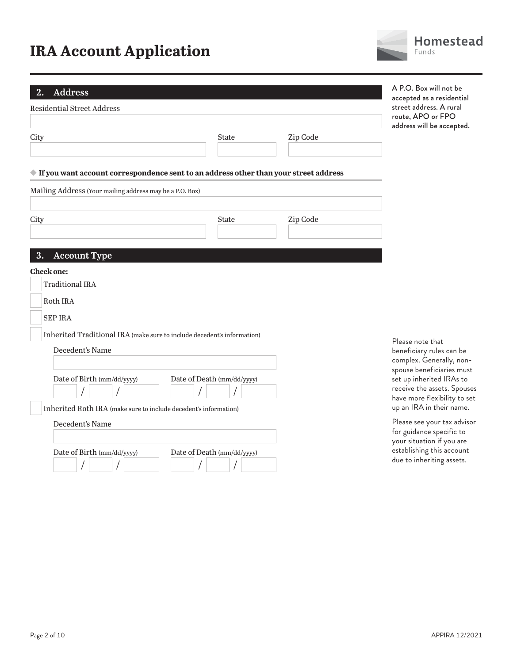**2. Address**

| <b>Residential Street Address</b>                                                                    |                            |          |
|------------------------------------------------------------------------------------------------------|----------------------------|----------|
| City                                                                                                 | <b>State</b>               | Zip Code |
| $\blacklozenge$ If you want account correspondence sent to an address other than your street address |                            |          |
| Mailing Address (Your mailing address may be a P.O. Box)                                             |                            |          |
| City                                                                                                 | <b>State</b>               | Zip Code |
| 3.<br><b>Account Type</b>                                                                            |                            |          |
| <b>Check one:</b>                                                                                    |                            |          |
| <b>Traditional IRA</b>                                                                               |                            |          |
| Roth IRA                                                                                             |                            |          |
| <b>SEP IRA</b>                                                                                       |                            |          |
| Inherited Traditional IRA (make sure to include decedent's information)                              |                            |          |
| Decedent's Name                                                                                      |                            |          |
|                                                                                                      |                            |          |
| Date of Birth (mm/dd/yyyy)                                                                           | Date of Death (mm/dd/yyyy) |          |
| Inherited Roth IRA (make sure to include decedent's information)                                     |                            |          |
| Decedent's Name                                                                                      |                            |          |
|                                                                                                      |                            |          |
| Date of Birth (mm/dd/yyyy)                                                                           | Date of Death (mm/dd/yyyy) |          |



A P.O. Box will not be accepted as a residential street address. A rural route, APO or FPO address will be accepted.

Please note that beneficiary rules can be complex. Generally, nonspouse beneficiaries must set up inherited IRAs to receive the assets. Spouses have more flexibility to set up an IRA in their name. Please see your tax advisor for guidance specific to your situation if you are establishing this account due to inheriting assets.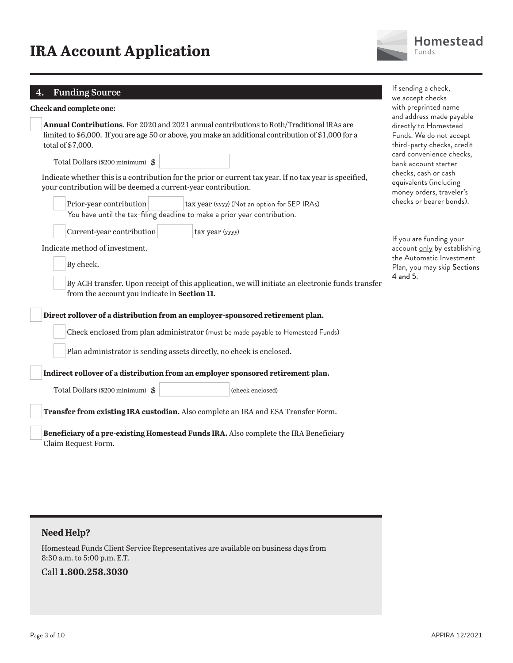### **4. Funding Source**

| r andre pour co                                                                                                                                                                                                                                                                                                                                                                                                                                                                                                          | we accept checks                                                                                                                                                                                                                                                         |
|--------------------------------------------------------------------------------------------------------------------------------------------------------------------------------------------------------------------------------------------------------------------------------------------------------------------------------------------------------------------------------------------------------------------------------------------------------------------------------------------------------------------------|--------------------------------------------------------------------------------------------------------------------------------------------------------------------------------------------------------------------------------------------------------------------------|
| Check and complete one:                                                                                                                                                                                                                                                                                                                                                                                                                                                                                                  | with preprinted name                                                                                                                                                                                                                                                     |
| <b>Annual Contributions.</b> For 2020 and 2021 annual contributions to Roth/Traditional IRAs are<br>limited to \$6,000. If you are age 50 or above, you make an additional contribution of \$1,000 for a<br>total of \$7,000.<br>Total Dollars (\$200 minimum) \$<br>Indicate whether this is a contribution for the prior or current tax year. If no tax year is specified,<br>your contribution will be deemed a current-year contribution.<br>Prior-year contribution<br>tax year (yyyy) (Not an option for SEP IRAs) | and address made payable<br>directly to Homestead<br>Funds. We do not accept<br>third-party checks, credit<br>card convenience checks,<br>bank account starter<br>checks, cash or cash<br>equivalents (including<br>money orders, traveler's<br>checks or bearer bonds). |
| You have until the tax-filing deadline to make a prior year contribution.                                                                                                                                                                                                                                                                                                                                                                                                                                                |                                                                                                                                                                                                                                                                          |
| Current-year contribution<br>tax year (yyyy)<br>Indicate method of investment.<br>By check.                                                                                                                                                                                                                                                                                                                                                                                                                              | If you are funding your<br>account only by establishing<br>the Automatic Investment<br>Plan, you may skip Sections                                                                                                                                                       |
| By ACH transfer. Upon receipt of this application, we will initiate an electronic funds transfer<br>from the account you indicate in Section 11.                                                                                                                                                                                                                                                                                                                                                                         | 4 and 5.                                                                                                                                                                                                                                                                 |
| Direct rollover of a distribution from an employer-sponsored retirement plan.                                                                                                                                                                                                                                                                                                                                                                                                                                            |                                                                                                                                                                                                                                                                          |
| Check enclosed from plan administrator (must be made payable to Homestead Funds)                                                                                                                                                                                                                                                                                                                                                                                                                                         |                                                                                                                                                                                                                                                                          |
| Plan administrator is sending assets directly, no check is enclosed.                                                                                                                                                                                                                                                                                                                                                                                                                                                     |                                                                                                                                                                                                                                                                          |
| Indirect rollover of a distribution from an employer sponsored retirement plan.                                                                                                                                                                                                                                                                                                                                                                                                                                          |                                                                                                                                                                                                                                                                          |
| Total Dollars (\$200 minimum) \$<br>(check enclosed)                                                                                                                                                                                                                                                                                                                                                                                                                                                                     |                                                                                                                                                                                                                                                                          |
| Transfer from existing IRA custodian. Also complete an IRA and ESA Transfer Form.                                                                                                                                                                                                                                                                                                                                                                                                                                        |                                                                                                                                                                                                                                                                          |
| Beneficiary of a pre-existing Homestead Funds IRA. Also complete the IRA Beneficiary<br>Claim Request Form.                                                                                                                                                                                                                                                                                                                                                                                                              |                                                                                                                                                                                                                                                                          |

Homestead Funds Client Service Representatives are available on business days from 8:30 a.m. to 5:00 p.m. E.T.

### Call **1.800.258.3030**



If sending a check,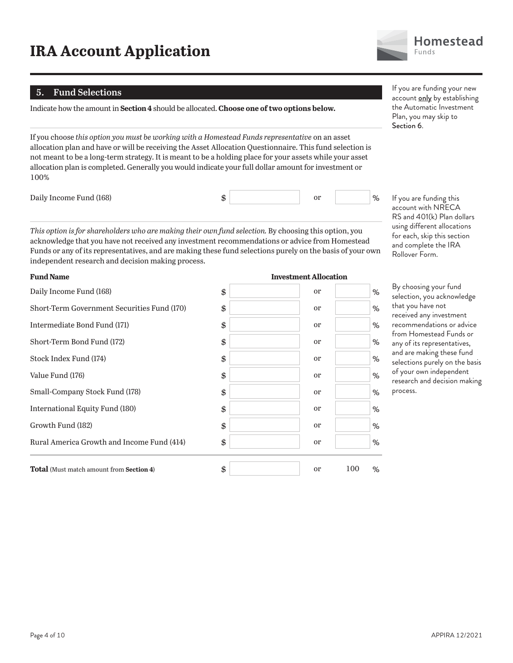#### **5. Fund Selections**

Indicate how the amount in **Section 4** should be allocated. **Choose one of two options below.**

If you choose *this option you must be working with a Homestead Funds representative* on an asset allocation plan and have or will be receiving the Asset Allocation Questionnaire. This fund selection is not meant to be a long-term strategy. It is meant to be a holding place for your assets while your asset allocation plan is completed. Generally you would indicate your full dollar amount for investment or 100%

Daily Income Fund (168)  $\qquad \qquad$  \$ or  $\qquad \qquad$  0r

*This option is for shareholders who are making their own fund selection.* By choosing this option, you acknowledge that you have not received any investment recommendations or advice from Homestead Funds or any of its representatives, and are making these fund selections purely on the basis of your own independent research and decision making process.

| Daily Income Fund (168)                         | \$<br>or            | %        |
|-------------------------------------------------|---------------------|----------|
| Short-Term Government Securities Fund (170)     | \$<br>or            | %        |
| Intermediate Bond Fund (171)                    | \$<br><sub>or</sub> | %        |
| Short-Term Bond Fund (172)                      | \$<br><sub>or</sub> | %        |
| Stock Index Fund (174)                          | \$<br>or            | %        |
| Value Fund (176)                                | \$<br>or            | %        |
| Small-Company Stock Fund (178)                  | \$<br><sub>or</sub> | %        |
| International Equity Fund (180)                 | \$<br>or            | %        |
| Growth Fund (182)                               | \$<br>or            | %        |
| Rural America Growth and Income Fund (414)      | \$<br>or            | %        |
| <b>Total</b> (Must match amount from Section 4) | \$<br><sub>or</sub> | 100<br>% |

#### **Fund Name Investment Allocation**

If you are funding your new account only by establishing the Automatic Investment Plan, you may skip to Section 6.

If you are funding this account with NRECA RS and 401(k) Plan dollars using different allocations for each, skip this section and complete the IRA Rollover Form.

By choosing your fund selection, you acknowledge that you have not received any investment recommendations or advice from Homestead Funds or any of its representatives, and are making these fund selections purely on the basis of your own independent research and decision making process.

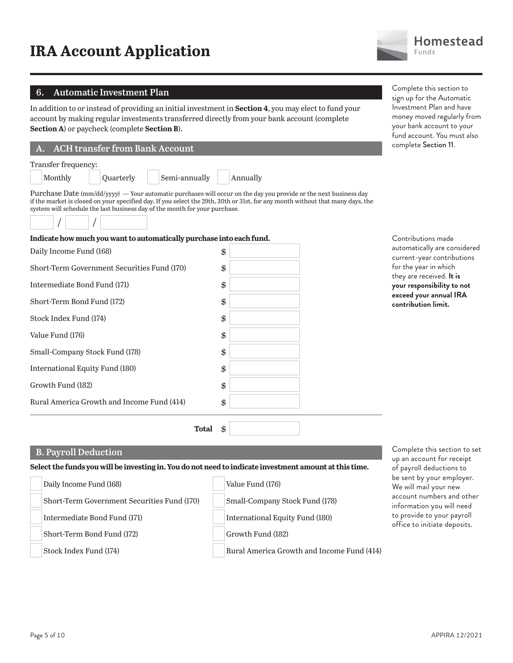**B. Payroll Deduction** 

Daily Income Fund (168)

Intermediate Bond Fund (171)

Short-Term Bond Fund (172)

Stock Index Fund (174)

Short-Term Government Securities Fund (170)

#### **6. Automatic Investment Plan**

In addition to or instead of providing an initial investment in **Section 4**, you may elect to fund your account by making regular investments transferred directly from your bank account (complete **Section A**) or paycheck (complete **Section B**).

#### **A. ACH transfer from Bank Account**

Monthly | Quarterly | Semi-annually | Annually

**Indicate how much you want to automatically purchase into each fund.**

### Transfer frequency:

Purchase Date (mm/dd/yyyy) — Your automatic purchases will occur on the day you provide or the next business day if the market is closed on your specified day. If you select the 29th, 30th or 31st, for any month without that many days, the system will schedule the last business day of the month for your purchase.



| manaan now mach you want to automanically pul chase mito cach fund. |    |
|---------------------------------------------------------------------|----|
| Daily Income Fund (168)                                             | \$ |
| Short-Term Government Securities Fund (170)                         | \$ |
| Intermediate Bond Fund (171)                                        | \$ |
| Short-Term Bond Fund (172)                                          | \$ |
| Stock Index Fund (174)                                              | \$ |
| Value Fund (176)                                                    | \$ |
| Small-Company Stock Fund (178)                                      | \$ |
| International Equity Fund (180)                                     | \$ |
| Growth Fund (182)                                                   | \$ |
| Rural America Growth and Income Fund (414)                          | \$ |
| Total                                                               | \$ |

**Select the funds you will be investing in. You do not need to indicate investment amount at this time.**

Value Fund (176)

Growth Fund (182)

Small-Company Stock Fund (178)

International Equity Fund (180)

Rural America Growth and Income Fund (414)



Complete this section to sign up for the Automatic Investment Plan and have money moved regularly from your bank account to your fund account. You must also complete Section 11.

Contributions made automatically are considered current-year contributions for the year in which they are received. **It is your responsibility to not exceed your annual IRA contribution limit.**

Complete this section to set up an account for receipt of payroll deductions to be sent by your employer. We will mail your new account numbers and other information you will need to provide to your payroll office to initiate deposits.

| APPIRA 12/2021 |  |  |
|----------------|--|--|
|----------------|--|--|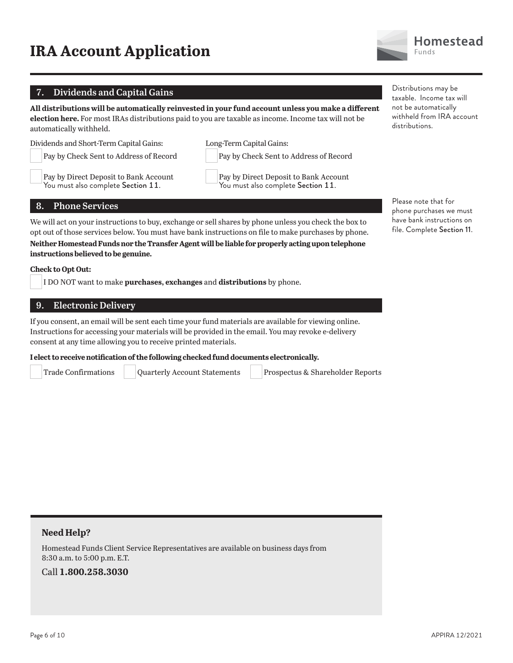### **7. Dividends and Capital Gains**

**All distributions will be automatically reinvested in your fund account unless you make a different election here.** For most IRAs distributions paid to you are taxable as income. Income tax will not be automatically withheld.

Dividends and Short-Term Capital Gains:

 Pay by Check Sent to Address of Record Pay by Direct Deposit to Bank Account

You must also complete Section 11.

 Pay by Direct Deposit to Bank Account You must also complete Section 11.

Pay by Check Sent to Address of Record

Long-Term Capital Gains:

**8. Phone Services**

We will act on your instructions to buy, exchange or sell shares by phone unless you check the box to opt out of those services below. You must have bank instructions on file to make purchases by phone.

**Neither Homestead Funds nor the Transfer Agent will be liable for properly acting upon telephone instructions believed to be genuine.**

#### **Check to Opt Out:**

I DO NOT want to make **purchases, exchanges** and **distributions** by phone.

#### **9. Electronic Delivery**

If you consent, an email will be sent each time your fund materials are available for viewing online. Instructions for accessing your materials will be provided in the email. You may revoke e-delivery consent at any time allowing you to receive printed materials.

**I elect to receive notification of the following checked fund documents electronically.**

Trade Confirmations Quarterly Account Statements Prospectus & Shareholder Reports

**Need Help?**

Homestead Funds Client Service Representatives are available on business days from 8:30 a.m. to 5:00 p.m. E.T.

Call **1.800.258.3030**

Distributions may be taxable. Income tax will not be automatically withheld from IRA account distributions.

Please note that for phone purchases we must have bank instructions on file. Complete Section 11.

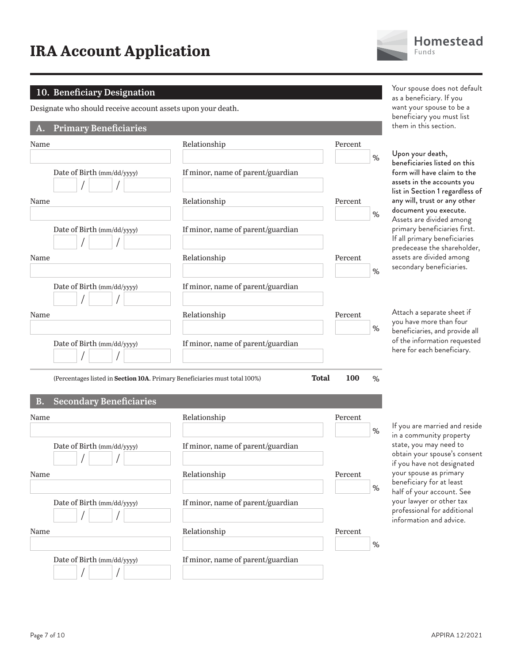

#### **10. Beneficiary Designation**

Designate who should receive account assets upon your death.

#### **A. Primary Beneficiaries**

| Name                                                                       | Relationship                      | Percent             | % |
|----------------------------------------------------------------------------|-----------------------------------|---------------------|---|
| Date of Birth (mm/dd/yyyy)                                                 | If minor, name of parent/guardian |                     |   |
| Name                                                                       | Relationship                      | Percent             | % |
| Date of Birth (mm/dd/yyyy)                                                 | If minor, name of parent/guardian |                     |   |
| Name                                                                       | Relationship                      | Percent             | % |
| Date of Birth (mm/dd/yyyy)                                                 | If minor, name of parent/guardian |                     |   |
| Name                                                                       | Relationship                      | Percent             |   |
| Date of Birth (mm/dd/yyyy)                                                 | If minor, name of parent/guardian |                     | % |
| (Percentages listed in Section 10A. Primary Beneficiaries must total 100%) |                                   | <b>Total</b><br>100 | % |

#### **B. Secondary Beneficiaries**

| Name                       | Relationship                      | Percent<br>% | If you are<br>in a comn               |
|----------------------------|-----------------------------------|--------------|---------------------------------------|
| Date of Birth (mm/dd/yyyy) | If minor, name of parent/guardian |              | state, you<br>obtain yo<br>if you hav |
| Name                       | Relationship                      | Percent<br>% | your spou<br>beneficial<br>half of yo |
| Date of Birth (mm/dd/yyyy) | If minor, name of parent/guardian |              | your lawy<br>professior<br>informati  |
| Name                       | Relationship                      | Percent<br>% |                                       |
| Date of Birth (mm/dd/yyyy) | If minor, name of parent/guardian |              |                                       |

Your spouse does not default as a beneficiary. If you want your spouse to be a beneficiary you must list them in this section.

our death, ciaries listed on this ill have claim to the in the accounts you iection 1 regardless of l, trust or any other ent you execute. are divided among y beneficiaries first. imary beneficiaries ease the shareholder, are divided among ary beneficiaries.

a separate sheet if e more than four iaries, and provide all nformation requested  $r$  each beneficiary.

married and reside nunity property u may need to ur spouse's consent e not designated ise as primary ry for at least ur account. See er or other tax nal for additional on and advice.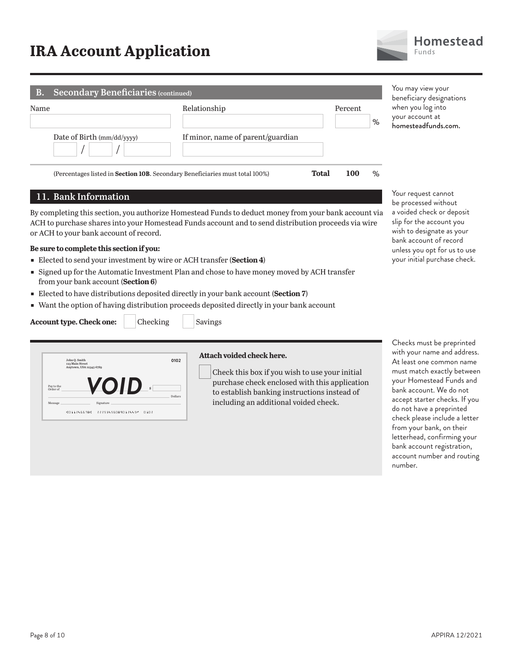| <b>Secondary Beneficiaries (continued)</b><br><b>B.</b> |                                                                                      |         |      | You may view your<br>beneficiary designations               |
|---------------------------------------------------------|--------------------------------------------------------------------------------------|---------|------|-------------------------------------------------------------|
| Name<br>Date of Birth (mm/dd/yyyy)                      | Relationship<br>If minor, name of parent/guardian                                    | Percent | %    | when you log into<br>your account at<br>homesteadfunds.com. |
|                                                         | (Percentages listed in <b>Section 10B</b> . Secondary Beneficiaries must total 100%) | Total   | $\%$ |                                                             |

#### **11. Bank Information**

By completing this section, you authorize Homestead Funds to deduct money from your bank account via ACH to purchase shares into your Homestead Funds account and to send distribution proceeds via wire or ACH to your bank account of record.

#### **Be sure to complete this section if you:**

- ɕ Elected to send your investment by wire or ACH transfer (**Section 4**)
- **Signed up for the Automatic Investment Plan and chose to have money moved by ACH transfer** from your bank account (**Section 6**)
- ɕ Elected to have distributions deposited directly in your bank account (**Section 7**)
- Want the option of having distribution proceeds deposited directly in your bank account



**Account type. Check one:** Checking Savings

#### **Attach voided check here.**

Check this box if you wish to use your initial purchase check enclosed with this application to establish banking instructions instead of including an additional voided check.

be processed without a voided check or deposit slip for the account you wish to designate as your bank account of record unless you opt for us to use your initial purchase check.

Your request cannot

Checks must be preprinted with your name and address. At least one common name must match exactly between your Homestead Funds and bank account. We do not accept starter checks. If you do not have a preprinted check please include a letter from your bank, on their letterhead, confirming your bank account registration, account number and routing number.

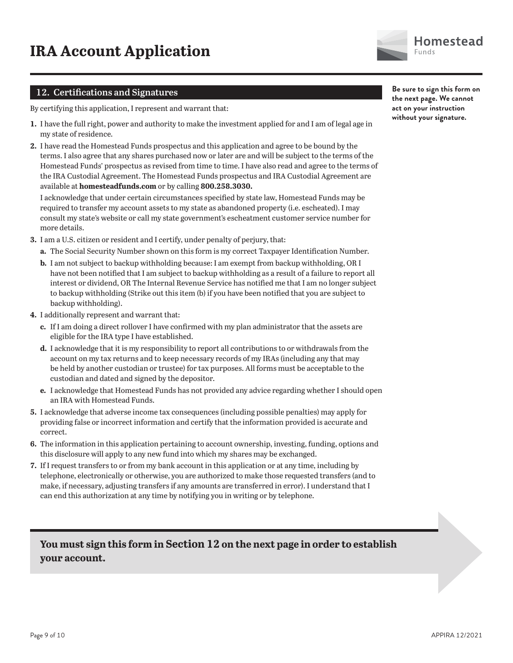

#### **12. Certifications and Signatures**

By certifying this application, I represent and warrant that:

- **1.** I have the full right, power and authority to make the investment applied for and I am of legal age in my state of residence.
- **2.** I have read the Homestead Funds prospectus and this application and agree to be bound by the terms. I also agree that any shares purchased now or later are and will be subject to the terms of the Homestead Funds' prospectus as revised from time to time. I have also read and agree to the terms of the IRA Custodial Agreement. The Homestead Funds prospectus and IRA Custodial Agreement are available at **homesteadfunds.com** or by calling **800.258.3030.**

I acknowledge that under certain circumstances specified by state law, Homestead Funds may be required to transfer my account assets to my state as abandoned property (i.e. escheated). I may consult my state's website or call my state government's escheatment customer service number for more details.

- **3.** I am a U.S. citizen or resident and I certify, under penalty of perjury, that:
	- **a.** The Social Security Number shown on this form is my correct Taxpayer Identification Number.
	- **b.** I am not subject to backup withholding because: I am exempt from backup withholding, OR I have not been notified that I am subject to backup withholding as a result of a failure to report all interest or dividend, OR The Internal Revenue Service has notified me that I am no longer subject to backup withholding (Strike out this item (b) if you have been notified that you are subject to backup withholding).
- **4.** I additionally represent and warrant that:
	- **c.** If I am doing a direct rollover I have confirmed with my plan administrator that the assets are eligible for the IRA type I have established.
	- **d.** I acknowledge that it is my responsibility to report all contributions to or withdrawals from the account on my tax returns and to keep necessary records of my IRAs (including any that may be held by another custodian or trustee) for tax purposes. All forms must be acceptable to the custodian and dated and signed by the depositor.
	- **e.** I acknowledge that Homestead Funds has not provided any advice regarding whether I should open an IRA with Homestead Funds.
- **5.** I acknowledge that adverse income tax consequences (including possible penalties) may apply for providing false or incorrect information and certify that the information provided is accurate and correct.
- **6.** The information in this application pertaining to account ownership, investing, funding, options and this disclosure will apply to any new fund into which my shares may be exchanged.
- **7.** If I request transfers to or from my bank account in this application or at any time, including by telephone, electronically or otherwise, you are authorized to make those requested transfers (and to make, if necessary, adjusting transfers if any amounts are transferred in error). I understand that I can end this authorization at any time by notifying you in writing or by telephone.

### **You must sign this form in Section 12 on the next page in order to establish your account.**

**Be sure to sign this form on the next page. We cannot act on your instruction without your signature.**